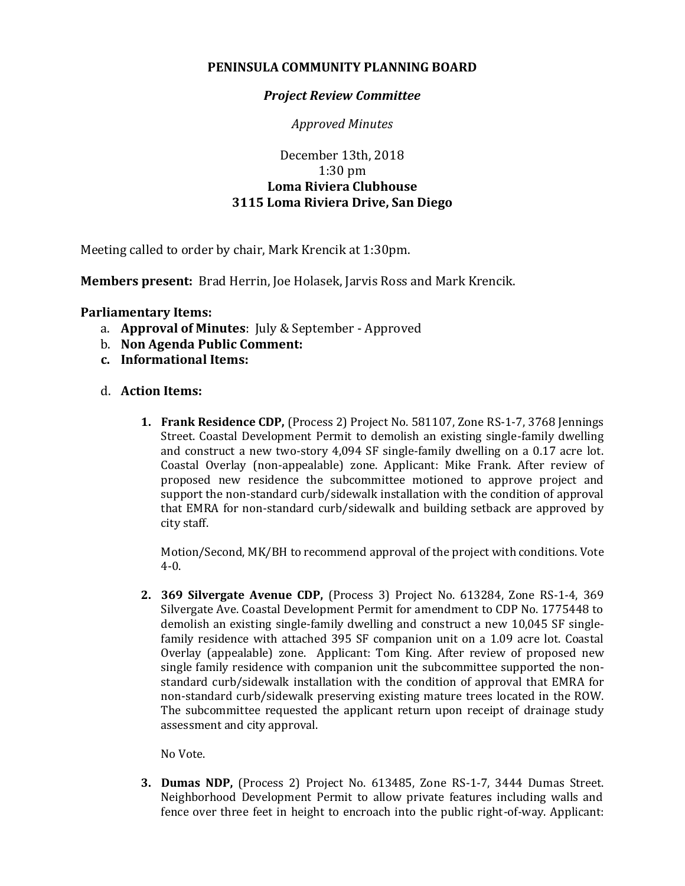## **PENINSULA COMMUNITY PLANNING BOARD**

## *Project Review Committee*

*Approved Minutes*

## December 13th, 2018 1:30 pm **Loma Riviera Clubhouse 3115 Loma Riviera Drive, San Diego**

Meeting called to order by chair, Mark Krencik at 1:30pm.

**Members present:** Brad Herrin, Joe Holasek, Jarvis Ross and Mark Krencik.

## **Parliamentary Items:**

- a. **Approval of Minutes**: July & September Approved
- b. **Non Agenda Public Comment:**
- **c. Informational Items:**
- d. **Action Items:**
	- **1. Frank Residence CDP,** (Process 2) Project No. 581107, Zone RS-1-7, 3768 Jennings Street. Coastal Development Permit to demolish an existing single-family dwelling and construct a new two-story 4,094 SF single-family dwelling on a 0.17 acre lot. Coastal Overlay (non-appealable) zone. Applicant: Mike Frank. After review of proposed new residence the subcommittee motioned to approve project and support the non-standard curb/sidewalk installation with the condition of approval that EMRA for non-standard curb/sidewalk and building setback are approved by city staff.

Motion/Second, MK/BH to recommend approval of the project with conditions. Vote 4-0.

**2. 369 Silvergate Avenue CDP,** (Process 3) Project No. 613284, Zone RS-1-4, 369 Silvergate Ave. Coastal Development Permit for amendment to CDP No. 1775448 to demolish an existing single-family dwelling and construct a new 10,045 SF singlefamily residence with attached 395 SF companion unit on a 1.09 acre lot. Coastal Overlay (appealable) zone. Applicant: Tom King. After review of proposed new single family residence with companion unit the subcommittee supported the nonstandard curb/sidewalk installation with the condition of approval that EMRA for non-standard curb/sidewalk preserving existing mature trees located in the ROW. The subcommittee requested the applicant return upon receipt of drainage study assessment and city approval.

No Vote.

**3. Dumas NDP,** (Process 2) Project No. 613485, Zone RS-1-7, 3444 Dumas Street. Neighborhood Development Permit to allow private features including walls and fence over three feet in height to encroach into the public right-of-way. Applicant: